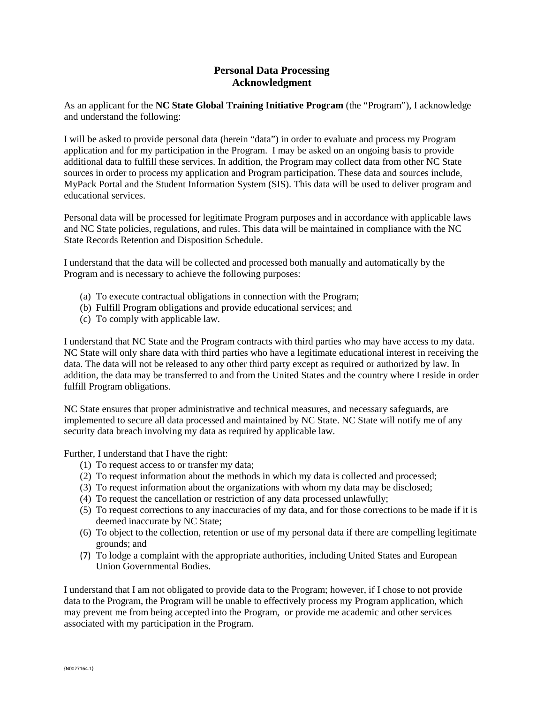## **Personal Data Processing Acknowledgment**

As an applicant for the **NC State Global Training Initiative Program** (the "Program"), I acknowledge and understand the following:

I will be asked to provide personal data (herein "data") in order to evaluate and process my Program application and for my participation in the Program. I may be asked on an ongoing basis to provide additional data to fulfill these services. In addition, the Program may collect data from other NC State sources in order to process my application and Program participation. These data and sources include, MyPack Portal and the Student Information System (SIS). This data will be used to deliver program and educational services.

Personal data will be processed for legitimate Program purposes and in accordance with applicable laws and NC State policies, regulations, and rules. This data will be maintained in compliance with the NC State Records Retention and Disposition Schedule.

I understand that the data will be collected and processed both manually and automatically by the Program and is necessary to achieve the following purposes:

- (a) To execute contractual obligations in connection with the Program;
- (b) Fulfill Program obligations and provide educational services; and
- (c) To comply with applicable law.

I understand that NC State and the Program contracts with third parties who may have access to my data. NC State will only share data with third parties who have a legitimate educational interest in receiving the data. The data will not be released to any other third party except as required or authorized by law. In addition, the data may be transferred to and from the United States and the country where I reside in order fulfill Program obligations.

NC State ensures that proper administrative and technical measures, and necessary safeguards, are implemented to secure all data processed and maintained by NC State. NC State will notify me of any security data breach involving my data as required by applicable law.

Further, I understand that I have the right:

- (1) To request access to or transfer my data;
- (2) To request information about the methods in which my data is collected and processed;
- (3) To request information about the organizations with whom my data may be disclosed;
- (4) To request the cancellation or restriction of any data processed unlawfully;
- (5) To request corrections to any inaccuracies of my data, and for those corrections to be made if it is deemed inaccurate by NC State;
- (6) To object to the collection, retention or use of my personal data if there are compelling legitimate grounds; and
- (7) To lodge a complaint with the appropriate authorities, including United States and European Union Governmental Bodies.

I understand that I am not obligated to provide data to the Program; however, if I chose to not provide data to the Program, the Program will be unable to effectively process my Program application, which may prevent me from being accepted into the Program, or provide me academic and other services associated with my participation in the Program.